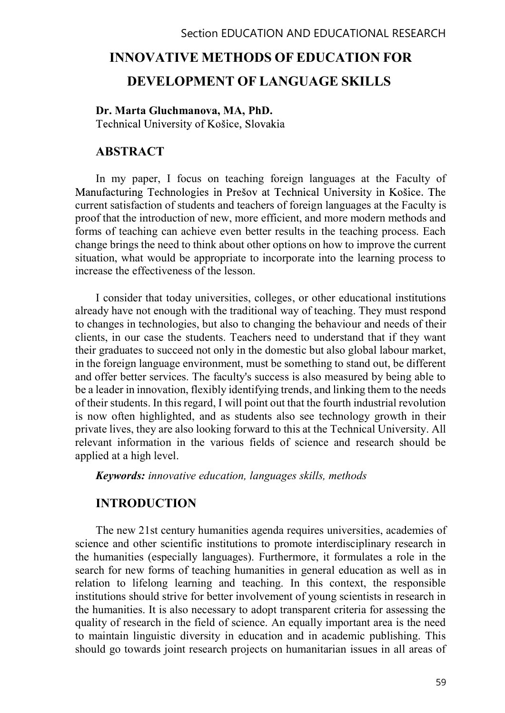#### Section EDUCATION AND EDUCATIONAL RESEARCH

# INNOVATIVE METHODS OF EDUCATION FOR DEVELOPMENT OF LANGUAGE SKILLS

#### Dr. Marta Gluchmanova, MA, PhD.

Technical University of Košice, Slovakia

#### ABSTRACT

In my paper, I focus on teaching foreign languages at the Faculty of Manufacturing Technologies in Prešov at Technical University in Košice. The current satisfaction of students and teachers of foreign languages at the Faculty is proof that the introduction of new, more efficient, and more modern methods and forms of teaching can achieve even better results in the teaching process. Each change brings the need to think about other options on how to improve the current situation, what would be appropriate to incorporate into the learning process to increase the effectiveness of the lesson.

I consider that today universities, colleges, or other educational institutions already have not enough with the traditional way of teaching. They must respond to changes in technologies, but also to changing the behaviour and needs of their clients, in our case the students. Teachers need to understand that if they want their graduates to succeed not only in the domestic but also global labour market, in the foreign language environment, must be something to stand out, be different and offer better services. The faculty's success is also measured by being able to be a leader in innovation, flexibly identifying trends, and linking them to the needs of their students. In this regard, I will point out that the fourth industrial revolution is now often highlighted, and as students also see technology growth in their private lives, they are also looking forward to this at the Technical University. All relevant information in the various fields of science and research should be applied at a high level.

Keywords: innovative education, languages skills, methods

#### INTRODUCTION

The new 21st century humanities agenda requires universities, academies of science and other scientific institutions to promote interdisciplinary research in the humanities (especially languages). Furthermore, it formulates a role in the search for new forms of teaching humanities in general education as well as in relation to lifelong learning and teaching. In this context, the responsible institutions should strive for better involvement of young scientists in research in the humanities. It is also necessary to adopt transparent criteria for assessing the quality of research in the field of science. An equally important area is the need to maintain linguistic diversity in education and in academic publishing. This should go towards joint research projects on humanitarian issues in all areas of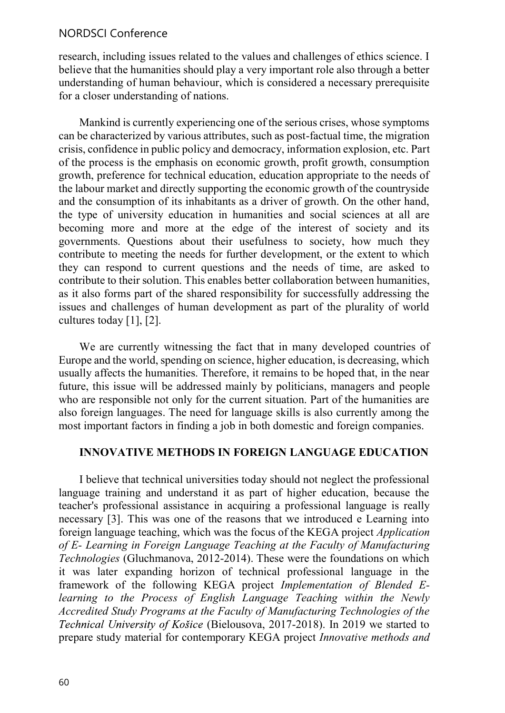#### NORDSCI Conference

research, including issues related to the values and challenges of ethics science. I believe that the humanities should play a very important role also through a better understanding of human behaviour, which is considered a necessary prerequisite for a closer understanding of nations.

Mankind is currently experiencing one of the serious crises, whose symptoms can be characterized by various attributes, such as post-factual time, the migration crisis, confidence in public policy and democracy, information explosion, etc. Part of the process is the emphasis on economic growth, profit growth, consumption growth, preference for technical education, education appropriate to the needs of the labour market and directly supporting the economic growth of the countryside and the consumption of its inhabitants as a driver of growth. On the other hand, the type of university education in humanities and social sciences at all are becoming more and more at the edge of the interest of society and its governments. Questions about their usefulness to society, how much they contribute to meeting the needs for further development, or the extent to which they can respond to current questions and the needs of time, are asked to contribute to their solution. This enables better collaboration between humanities, as it also forms part of the shared responsibility for successfully addressing the issues and challenges of human development as part of the plurality of world cultures today [1], [2].

We are currently witnessing the fact that in many developed countries of Europe and the world, spending on science, higher education, is decreasing, which usually affects the humanities. Therefore, it remains to be hoped that, in the near future, this issue will be addressed mainly by politicians, managers and people who are responsible not only for the current situation. Part of the humanities are also foreign languages. The need for language skills is also currently among the most important factors in finding a job in both domestic and foreign companies.

#### INNOVATIVE METHODS IN FOREIGN LANGUAGE EDUCATION

I believe that technical universities today should not neglect the professional language training and understand it as part of higher education, because the teacher's professional assistance in acquiring a professional language is really necessary [3]. This was one of the reasons that we introduced e Learning into foreign language teaching, which was the focus of the KEGA project Application of E- Learning in Foreign Language Teaching at the Faculty of Manufacturing Technologies (Gluchmanova, 2012-2014). These were the foundations on which it was later expanding horizon of technical professional language in the framework of the following KEGA project Implementation of Blended Elearning to the Process of English Language Teaching within the Newly Accredited Study Programs at the Faculty of Manufacturing Technologies of the Technical University of Košice (Bielousova, 2017-2018). In 2019 we started to prepare study material for contemporary KEGA project Innovative methods and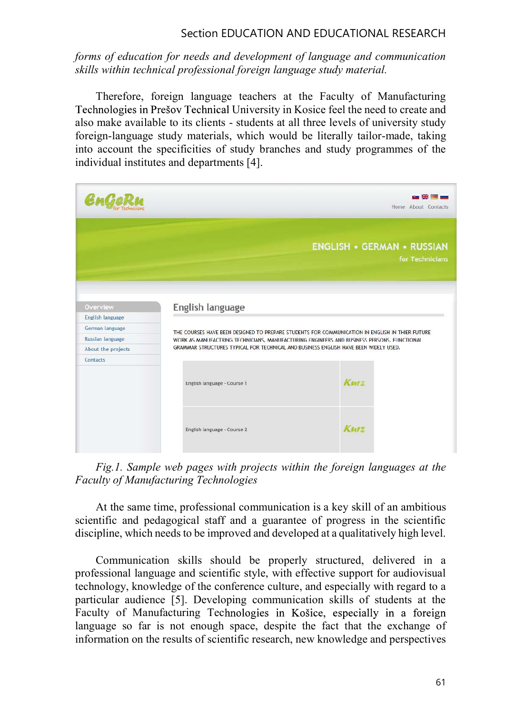## Section EDUCATION AND EDUCATIONAL RESEARCH

## forms of education for needs and development of language and communication skills within technical professional foreign language study material.

Therefore, foreign language teachers at the Faculty of Manufacturing Technologies in Prešov Technical University in Kosice feel the need to create and also make available to its clients - students at all three levels of university study foreign-language study materials, which would be literally tailor-made, taking into account the specificities of study branches and study programmes of the individual institutes and departments [4].

| $\boldsymbol{\mathcal{C}}$ m $\boldsymbol{\mathcal{C}}$ d<br>Rea    |                                                                                                                                                                                                                   | den 1999 Million<br>Home About Contacts              |
|---------------------------------------------------------------------|-------------------------------------------------------------------------------------------------------------------------------------------------------------------------------------------------------------------|------------------------------------------------------|
|                                                                     |                                                                                                                                                                                                                   | <b>ENGLISH • GERMAN • RUSSIAN</b><br>for Technicians |
| Overview<br>English language<br>German language<br>Russian language | English language<br>THE COURSES HAVE BEEN DESIGNED TO PREPARE STUDENTS FOR COMMUNICATION IN ENGLISH IN THIER FUTURE<br>WORK AS MANUFACTRING TECHNICIANS, MANUFACTURING ENGINEERS AND BUSINESS PERSONS. FUNCTIONAL |                                                      |
| About the projects<br>Contacts                                      | GRAMMAR STRUCTURES TYPICAL FOR TECHNICAL AND BUSINESS ENGLISH HAVE BEEN WIDELY USED.<br>English language - Course 1                                                                                               | Kurz                                                 |
|                                                                     | English language - Course 2                                                                                                                                                                                       | Kurz                                                 |

Fig.1. Sample web pages with projects within the foreign languages at the Faculty of Manufacturing Technologies

At the same time, professional communication is a key skill of an ambitious scientific and pedagogical staff and a guarantee of progress in the scientific discipline, which needs to be improved and developed at a qualitatively high level.

Communication skills should be properly structured, delivered in a professional language and scientific style, with effective support for audiovisual technology, knowledge of the conference culture, and especially with regard to a particular audience [5]. Developing communication skills of students at the Faculty of Manufacturing Technologies in Košice, especially in a foreign language so far is not enough space, despite the fact that the exchange of information on the results of scientific research, new knowledge and perspectives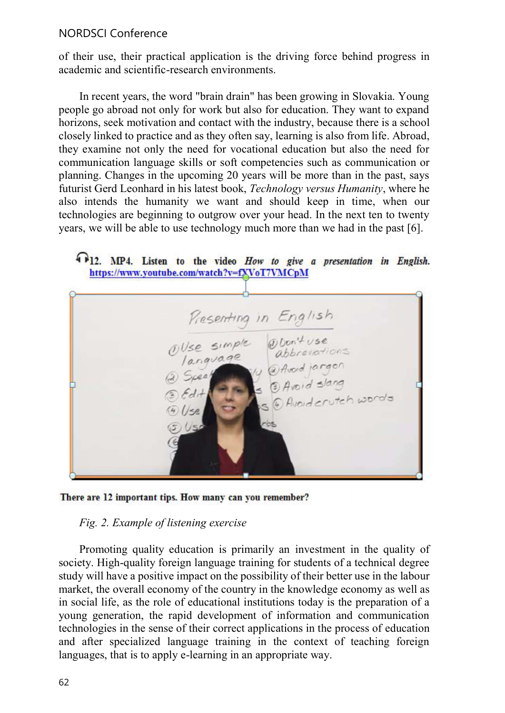#### NORDSCI Conference

of their use, their practical application is the driving force behind progress in academic and scientific-research environments.

In recent years, the word "brain drain" has been growing in Slovakia. Young people go abroad not only for work but also for education. They want to expand horizons, seek motivation and contact with the industry, because there is a school closely linked to practice and as they often say, learning is also from life. Abroad, they examine not only the need for vocational education but also the need for communication language skills or soft competencies such as communication or planning. Changes in the upcoming 20 years will be more than in the past, says futurist Gerd Leonhard in his latest book, Technology versus Humanity, where he also intends the humanity we want and should keep in time, when our technologies are beginning to outgrow over your head. In the next ten to twenty years, we will be able to use technology much more than we had in the past [6].

## 4 12. MP4. Listen to the video How to give a presentation in English. https://www.youtube.com/watch?v=fXVoT7VMCpM



There are 12 important tips. How many can you remember?

#### Fig. 2. Example of listening exercise

Promoting quality education is primarily an investment in the quality of society. High-quality foreign language training for students of a technical degree study will have a positive impact on the possibility of their better use in the labour market, the overall economy of the country in the knowledge economy as well as in social life, as the role of educational institutions today is the preparation of a young generation, the rapid development of information and communication technologies in the sense of their correct applications in the process of education and after specialized language training in the context of teaching foreign languages, that is to apply e-learning in an appropriate way.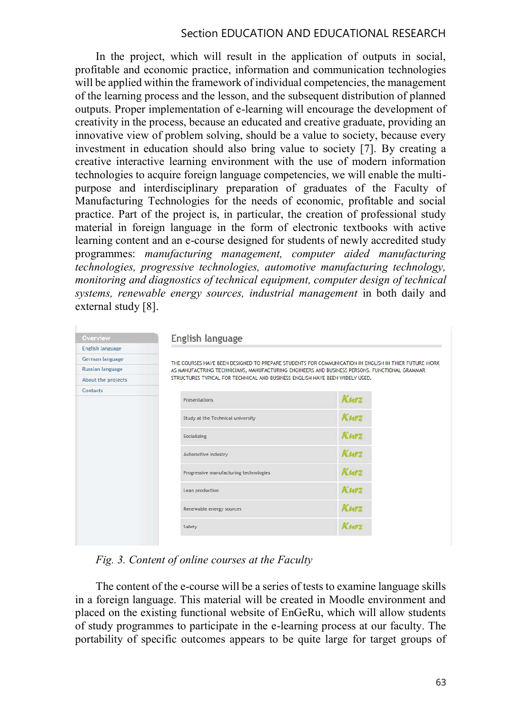#### Section EDUCATION AND EDUCATIONAL RESEARCH

In the project, which will result in the application of outputs in social, profitable and economic practice, information and communication technologies will be applied within the framework of individual competencies, the management of the learning process and the lesson, and the subsequent distribution of planned outputs. Proper implementation of e-learning will encourage the development of creativity in the process, because an educated and creative graduate, providing an innovative view of problem solving, should be a value to society, because every investment in education should also bring value to society [7]. By creating a creative interactive learning environment with the use of modern information technologies to acquire foreign language competencies, we will enable the multipurpose and interdisciplinary preparation of graduates of the Faculty of Manufacturing Technologies for the needs of economic, profitable and social practice. Part of the project is, in particular, the creation of professional study material in foreign language in the form of electronic textbooks with active learning content and an e-course designed for students of newly accredited study programmes: manufacturing management, computer aided manufacturing technologies, progressive technologies, automotive manufacturing technology, monitoring and diagnostics of technical equipment, computer design of technical systems, renewable energy sources, industrial management in both daily and external study [8].

| Overview                | English language                                                                                                                                                                                      |             |  |  |
|-------------------------|-------------------------------------------------------------------------------------------------------------------------------------------------------------------------------------------------------|-------------|--|--|
| English language        |                                                                                                                                                                                                       |             |  |  |
| German language         | THE COURSES HAVE BEEN DESIGNED TO PREPARE STUDENTS FOR COMMUNICATION IN ENGLISH IN THIER FUTURE WORK<br>AS MANUFACTRING TECHNICIANS, MANUFACTURING ENGINEERS AND BUSINESS PERSONS. FUNCTIONAL GRAMMAR |             |  |  |
| <b>Russian language</b> |                                                                                                                                                                                                       |             |  |  |
| About the projects      | STRUCTURES TYPICAL FOR TECHNICAL AND BUSINESS ENGLISH HAVE BEEN WIDELY USED.                                                                                                                          |             |  |  |
| Contacts                | Presentations                                                                                                                                                                                         | Kurz        |  |  |
|                         |                                                                                                                                                                                                       |             |  |  |
|                         | Study at the Technical university                                                                                                                                                                     | Kurz        |  |  |
|                         | Socializing                                                                                                                                                                                           | Kurz        |  |  |
|                         | Automotive industry                                                                                                                                                                                   | Kurz        |  |  |
|                         | Progressive manufacturing technologies                                                                                                                                                                | Kurz        |  |  |
|                         | Lean production                                                                                                                                                                                       | Kurz        |  |  |
|                         | Renewable energy sources                                                                                                                                                                              | <b>KMPZ</b> |  |  |
|                         | Safety                                                                                                                                                                                                | Kurz        |  |  |

Fig. 3. Content of online courses at the Faculty

The content of the e-course will be a series of tests to examine language skills in a foreign language. This material will be created in Moodle environment and placed on the existing functional website of EnGeRu, which will allow students of study programmes to participate in the e-learning process at our faculty. The portability of specific outcomes appears to be quite large for target groups of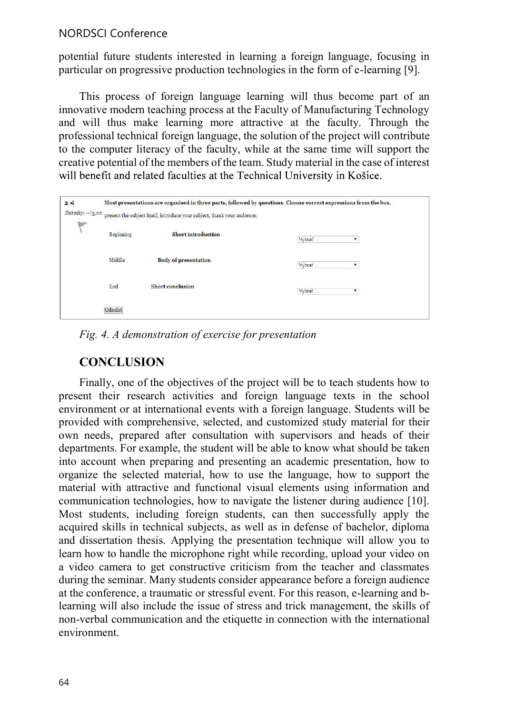## NORDSCI Conference

potential future students interested in learning a foreign language, focusing in particular on progressive production technologies in the form of e-learning [9].

This process of foreign language learning will thus become part of an innovative modern teaching process at the Faculty of Manufacturing Technology and will thus make learning more attractive at the faculty. Through the professional technical foreign language, the solution of the project will contribute to the computer literacy of the faculty, while at the same time will support the creative potential of the members of the team. Study material in the case of interest will benefit and related faculties at the Technical University in Košice.

| 2 <sub>5</sub>                                                                                         | Most presentations are organised in three parts, followed by questions. Choose correct expressions from the box. |                             |             |  |
|--------------------------------------------------------------------------------------------------------|------------------------------------------------------------------------------------------------------------------|-----------------------------|-------------|--|
| Známky: $-\frac{1}{3}$ ,00<br>present the subject itself, introduce your subject, thank your audience; |                                                                                                                  |                             |             |  |
|                                                                                                        | Beginning                                                                                                        | <b>Short introduction</b>   | Vybrať<br>۳ |  |
|                                                                                                        | Middle                                                                                                           | <b>Body of presentation</b> | Vybrať<br>▼ |  |
|                                                                                                        | End                                                                                                              | <b>Short conclusion</b>     | Vybrat<br>۷ |  |
|                                                                                                        | Odoslať                                                                                                          |                             |             |  |

Fig. 4. A demonstration of exercise for presentation

## **CONCLUSION**

Finally, one of the objectives of the project will be to teach students how to present their research activities and foreign language texts in the school environment or at international events with a foreign language. Students will be provided with comprehensive, selected, and customized study material for their own needs, prepared after consultation with supervisors and heads of their departments. For example, the student will be able to know what should be taken into account when preparing and presenting an academic presentation, how to organize the selected material, how to use the language, how to support the material with attractive and functional visual elements using information and communication technologies, how to navigate the listener during audience [10]. Most students, including foreign students, can then successfully apply the acquired skills in technical subjects, as well as in defense of bachelor, diploma and dissertation thesis. Applying the presentation technique will allow you to learn how to handle the microphone right while recording, upload your video on a video camera to get constructive criticism from the teacher and classmates during the seminar. Many students consider appearance before a foreign audience at the conference, a traumatic or stressful event. For this reason, e-learning and blearning will also include the issue of stress and trick management, the skills of non-verbal communication and the etiquette in connection with the international environment.